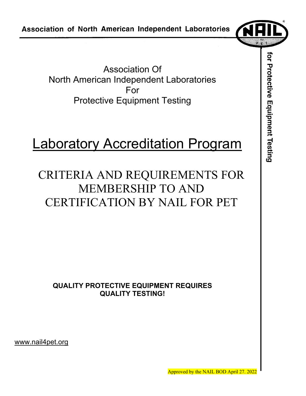Association Of North American Independent Laboratories For Protective Equipment Testing

# Laboratory Accreditation Program

## CRITERIA AND REQUIREMENTS FOR MEMBERSHIP TO AND CERTIFICATION BY NAIL FOR PET

**QUALITY PROTECTIVE EQUIPMENT REQUIRES QUALITY TESTING!** 

www.nail4pet.org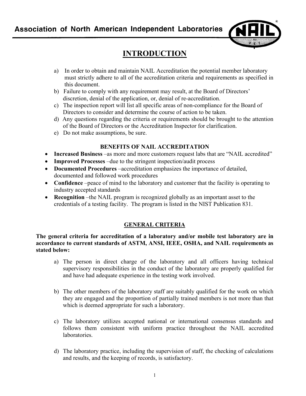

## **INTRODUCTION**

- a) In order to obtain and maintain NAIL Accreditation the potential member laboratory must strictly adhere to all of the accreditation criteria and requirements as specified in this document.
- b) Failure to comply with any requirement may result, at the Board of Directors' discretion, denial of the application, or, denial of re-accreditation.
- c) The inspection report will list all specific areas of non-compliance for the Board of Directors to consider and determine the course of action to be taken.
- d) Any questions regarding the criteria or requirements should be brought to the attention of the Board of Directors or the Accreditation Inspector for clarification.
- e) Do not make assumptions, be sure.

#### **BENEFITS OF NAIL ACCREDITATION**

- **Increased Business** –as more and more customers request labs that are "NAIL accredited"
- **Improved Processes** –due to the stringent inspection/audit process
- **Documented Procedures** –accreditation emphasizes the importance of detailed, documented and followed work procedures
- **Confidence** –peace of mind to the laboratory and customer that the facility is operating to industry accepted standards
- **Recognition** –the NAIL program is recognized globally as an important asset to the credentials of a testing facility. The program is listed in the NIST Publication 831.

#### **GENERAL CRITERIA**

**The general criteria for accreditation of a laboratory and/or mobile test laboratory are in accordance to current standards of ASTM, ANSI, IEEE, OSHA, and NAIL requirements as stated below:** 

- a) The person in direct charge of the laboratory and all officers having technical supervisory responsibilities in the conduct of the laboratory are properly qualified for and have had adequate experience in the testing work involved.
- b) The other members of the laboratory staff are suitably qualified for the work on which they are engaged and the proportion of partially trained members is not more than that which is deemed appropriate for such a laboratory.
- c) The laboratory utilizes accepted national or international consensus standards and follows them consistent with uniform practice throughout the NAIL accredited laboratories.
- d) The laboratory practice, including the supervision of staff, the checking of calculations and results, and the keeping of records, is satisfactory.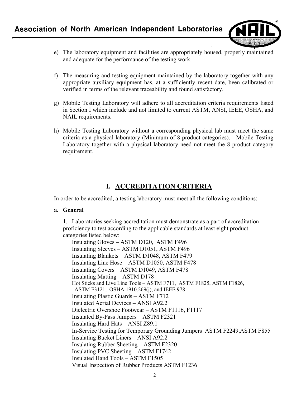

- e) The laboratory equipment and facilities are appropriately housed, properly maintained and adequate for the performance of the testing work.
- f) The measuring and testing equipment maintained by the laboratory together with any appropriate auxiliary equipment has, at a sufficiently recent date, been calibrated or verified in terms of the relevant traceability and found satisfactory.
- g) Mobile Testing Laboratory will adhere to all accreditation criteria requirements listed in Section I which include and not limited to current ASTM, ANSI, IEEE, OSHA, and NAIL requirements.
- h) Mobile Testing Laboratory without a corresponding physical lab must meet the same criteria as a physical laboratory (Minimum of 8 product categories). Mobile Testing Laboratory together with a physical laboratory need not meet the 8 product category requirement.

## **I. ACCREDITATION CRITERIA**

In order to be accredited, a testing laboratory must meet all the following conditions:

#### **a. General**

1. Laboratories seeking accreditation must demonstrate as a part of accreditation proficiency to test according to the applicable standards at least eight product categories listed below:

 Insulating Gloves – ASTM D120, ASTM F496 Insulating Sleeves – ASTM D1051, ASTM F496 Insulating Blankets – ASTM D1048, ASTM F479 Insulating Line Hose – ASTM D1050, ASTM F478 Insulating Covers – ASTM D1049, ASTM F478 Insulating Matting – ASTM D178 Hot Sticks and Live Line Tools – ASTM F711, ASTM F1825, ASTM F1826, ASTM F3121, OSHA 1910.269(j), and IEEE 978 Insulating Plastic Guards – ASTM F712 Insulated Aerial Devices – ANSI A92.2 Dielectric Overshoe Footwear – ASTM F1116, F1117 Insulated By-Pass Jumpers – ASTM F2321 Insulating Hard Hats – ANSI Z89.1 In-Service Testing for Temporary Grounding Jumpers ASTM F2249,ASTM F855 Insulating Bucket Liners – ANSI A92.2 Insulating Rubber Sheeting – ASTM F2320 Insulating PVC Sheeting – ASTM F1742 Insulated Hand Tools – ASTM F1505 Visual Inspection of Rubber Products ASTM F1236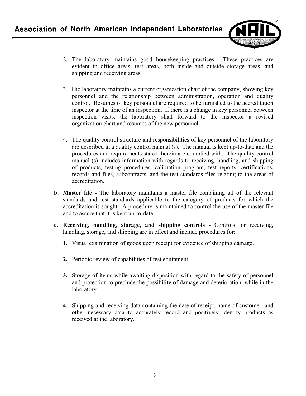

- 2. The laboratory maintains good housekeeping practices. These practices are evident in office areas, test areas, both inside and outside storage areas, and shipping and receiving areas.
- 3. The laboratory maintains a current organization chart of the company, showing key personnel and the relationship between administration, operation and quality control. Resumes of key personnel are required to be furnished to the accreditation inspector at the time of an inspection. If there is a change in key personnel between inspection visits, the laboratory shall forward to the inspector a revised organization chart and resumes of the new personnel.
- 4. The quality control structure and responsibilities of key personnel of the laboratory are described in a quality control manual (s). The manual is kept up-to-date and the procedures and requirements stated therein are complied with. The quality control manual (s) includes information with regards to receiving, handling, and shipping of products, testing procedures, calibration program, test reports, certifications, records and files, subcontracts, and the test standards files relating to the areas of accreditation.
- **b. Master file** The laboratory maintains a master file containing all of the relevant standards and test standards applicable to the category of products for which the accreditation is sought. A procedure is maintained to control the use of the master file and to assure that it is kept up-to-date.
- **c. Receiving, handling, storage, and shipping controls** Controls for receiving, handling, storage, and shipping are in effect and include procedures for:
	- **1.** Visual examination of goods upon receipt for evidence of shipping damage.
	- **2.** Periodic review of capabilities of test equipment.
	- **3.** Storage of items while awaiting disposition with regard to the safety of personnel and protection to preclude the possibility of damage and deterioration, while in the laboratory.
	- **4**. Shipping and receiving data containing the date of receipt, name of customer, and other necessary data to accurately record and positively identify products as received at the laboratory.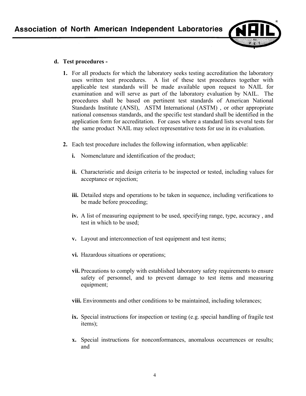

#### **d. Test procedures -**

- **1.** For all products for which the laboratory seeks testing accreditation the laboratory uses written test procedures. A list of these test procedures together with applicable test standards will be made available upon request to NAIL for examination and will serve as part of the laboratory evaluation by NAIL. The procedures shall be based on pertinent test standards of American National Standards Institute (ANSI), ASTM International (ASTM) , or other appropriate national consensus standards, and the specific test standard shall be identified in the application form for accreditation. For cases where a standard lists several tests for the same product NAIL may select representative tests for use in its evaluation.
- **2.** Each test procedure includes the following information, when applicable:
	- **i.** Nomenclature and identification of the product;
	- **ii.** Characteristic and design criteria to be inspected or tested, including values for acceptance or rejection;
	- **iii.** Detailed steps and operations to be taken in sequence, including verifications to be made before proceeding;
	- **iv.** A list of measuring equipment to be used, specifying range, type, accuracy , and test in which to be used;
	- **v.** Layout and interconnection of test equipment and test items;
	- **vi.** Hazardous situations or operations;
	- **vii.** Precautions to comply with established laboratory safety requirements to ensure safety of personnel, and to prevent damage to test items and measuring equipment;
	- **viii.** Environments and other conditions to be maintained, including tolerances;
	- **ix.** Special instructions for inspection or testing (e.g. special handling of fragile test items);
	- **x.** Special instructions for nonconformances, anomalous occurrences or results; and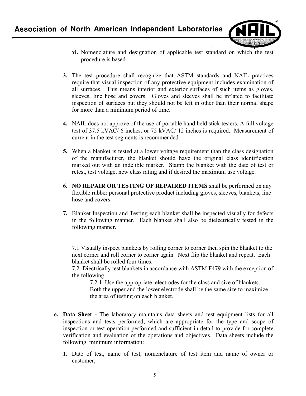

- **xi.** Nomenclature and designation of applicable test standard on which the test procedure is based.
- **3.** The test procedure shall recognize that ASTM standards and NAIL practices require that visual inspection of any protective equipment includes examination of all surfaces. This means interior and exterior surfaces of such items as gloves, sleeves, line hose and covers. Gloves and sleeves shall be inflated to facilitate inspection of surfaces but they should not be left in other than their normal shape for more than a minimum period of time.
- **4.** NAIL does not approve of the use of portable hand held stick testers. A full voltage test of 37.5 kVAC/ 6 inches, or 75 kVAC/ 12 inches is required. Measurement of current in the test segments is recommended.
- **5.** When a blanket is tested at a lower voltage requirement than the class designation of the manufacturer, the blanket should have the original class identification marked out with an indelible marker. Stamp the blanket with the date of test or retest, test voltage, new class rating and if desired the maximum use voltage.
- **6. NO REPAIR OR TESTING OF REPAIRED ITEMS** shall be performed on any flexible rubber personal protective product including gloves, sleeves, blankets, line hose and covers.
- **7.** Blanket Inspection and Testing each blanket shall be inspected visually for defects in the following manner. Each blanket shall also be dielectrically tested in the following manner.

7.1 Visually inspect blankets by rolling corner to corner then spin the blanket to the next corner and roll corner to corner again. Next flip the blanket and repeat. Each blanket shall be rolled four times.

7.2 Diectrically test blankets in accordance with ASTM F479 with the exception of the following.

7.2.1 Use the appropriate electrodes for the class and size of blankets. Both the upper and the lower electrode shall be the same size to maximize the area of testing on each blanket.

- **e. Data Sheet** The laboratory maintains data sheets and test equipment lists for all inspections and tests performed, which are appropriate for the type and scope of inspection or test operation performed and sufficient in detail to provide for complete verification and evaluation of the operations and objectives. Data sheets include the following minimum information:
	- **1.** Date of test, name of test, nomenclature of test item and name of owner or customer;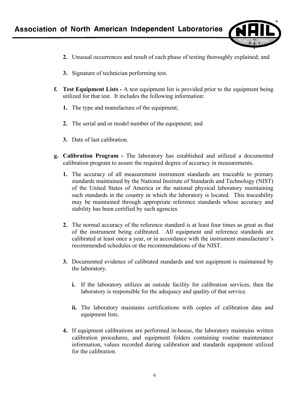

- **2.** Unusual occurrences and result of each phase of testing thoroughly explained; and
- **3.** Signature of technician performing test.
- **f. Test Equipment Lists** A test equipment list is provided prior to the equipment being utilized for that test. It includes the following information:
	- **1.** The type and manufacture of the equipment;
	- **2.** The serial and or model number of the equipment; and
	- **3.** Date of last calibration.
- **g. Calibration Program -** The laboratory has established and utilized a documented calibration program to assure the required degree of accuracy in measurements.
	- **1.** The accuracy of all measurement instrument standards are traceable to primary standards maintained by the National Institute of Standards and Technology (NIST) of the United States of America or the national physical laboratory maintaining such standards in the country in which the laboratory is located. This traceability may be maintained through appropriate reference standards whose accuracy and stability has been certified by such agencies.
	- **2.** The normal accuracy of the reference standard is at least four times as great as that of the instrument being calibrated. All equipment and reference standards are calibrated at least once a year, or in accordance with the instrument manufacturer's recommended schedules or the recommendations of the NIST.
	- **3.** Documented evidence of calibrated standards and test equipment is maintained by the laboratory.
		- **i.** If the laboratory utilizes an outside facility for calibration services, then the laboratory is responsible for the adequacy and quality of that service.
		- **ii.** The laboratory maintains certifications with copies of calibration data and equipment lists.
	- **4.** If equipment calibrations are performed in-house, the laboratory maintains written calibration procedures, and equipment folders containing routine maintenance information, values recorded during calibration and standards equipment utilized for the calibration.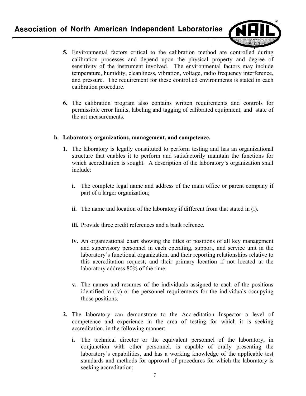

- **5.** Environmental factors critical to the calibration method are controlled during calibration processes and depend upon the physical property and degree of sensitivity of the instrument involved. The environmental factors may include temperature, humidity, cleanliness, vibration, voltage, radio frequency interference, and pressure. The requirement for these controlled environments is stated in each calibration procedure.
- **6.** The calibration program also contains written requirements and controls for permissible error limits, labeling and tagging of calibrated equipment, and state of the art measurements.

#### **h. Laboratory organizations, management, and competence.**

- **1.** The laboratory is legally constituted to perform testing and has an organizational structure that enables it to perform and satisfactorily maintain the functions for which accreditation is sought. A description of the laboratory's organization shall include:
	- **i.** The complete legal name and address of the main office or parent company if part of a larger organization;
	- **ii.** The name and location of the laboratory if different from that stated in (i).
	- **iii.** Provide three credit references and a bank refrence.
	- **iv.** An organizational chart showing the titles or positions of all key management and supervisory personnel in each operating, support, and service unit in the laboratory's functional organization, and their reporting relationships relative to this accreditation request; and their primary location if not located at the laboratory address 80% of the time.
	- **v.** The names and resumes of the individuals assigned to each of the positions identified in (iv) or the personnel requirements for the individuals occupying those positions.
- **2.** The laboratory can demonstrate to the Accreditation Inspector a level of competence and experience in the area of testing for which it is seeking accreditation, in the following manner:
	- **i.** The technical director or the equivalent personnel of the laboratory, in conjunction with other personnel. is capable of orally presenting the laboratory's capabilities, and has a working knowledge of the applicable test standards and methods for approval of procedures for which the laboratory is seeking accreditation;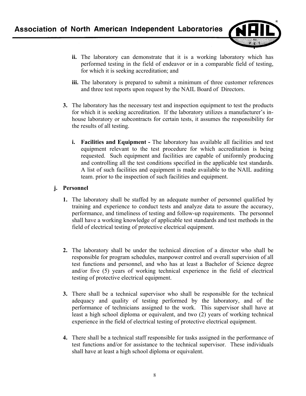

- **ii.** The laboratory can demonstrate that it is a working laboratory which has performed testing in the field of endeavor or in a comparable field of testing, for which it is seeking accreditation; and
- **iii.** The laboratory is prepared to submit a minimum of three customer references and three test reports upon request by the NAIL Board of Directors.
- **3.** The laboratory has the necessary test and inspection equipment to test the products for which it is seeking accreditation. If the laboratory utilizes a manufacturer's in house laboratory or subcontracts for certain tests, it assumes the responsibility for the results of all testing.
	- **i. Facilities and Equipment -** The laboratory has available all facilities and test equipment relevant to the test procedure for which accreditation is being requested. Such equipment and facilities are capable of uniformly producing and controlling all the test conditions specified in the applicable test standards. A list of such facilities and equipment is made available to the NAIL auditing team. prior to the inspection of such facilities and equipment.

#### **j. Personnel**

- **1.** The laboratory shall be staffed by an adequate number of personnel qualified by training and experience to conduct tests and analyze data to assure the accuracy, performance, and timeliness of testing and follow-up requirements. The personnel shall have a working knowledge of applicable test standards and test methods in the field of electrical testing of protective electrical equipment.
- **2.** The laboratory shall be under the technical direction of a director who shall be responsible for program schedules, manpower control and overall supervision of all test functions and personnel, and who has at least a Bachelor of Science degree and/or five (5) years of working technical experience in the field of electrical testing of protective electrical equipment.
- **3.** There shall be a technical supervisor who shall be responsible for the technical adequacy and quality of testing performed by the laboratory, and of the performance of technicians assigned to the work. This supervisor shall have at least a high school diploma or equivalent, and two (2) years of working technical experience in the field of electrical testing of protective electrical equipment.
- **4.** There shall be a technical staff responsible for tasks assigned in the performance of test functions and/or for assistance to the technical supervisor. These individuals shall have at least a high school diploma or equivalent.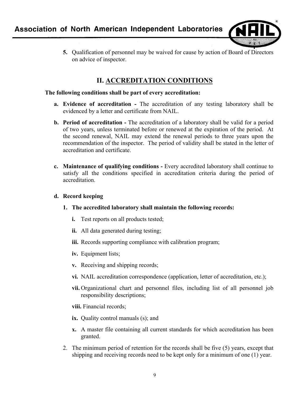

**5.** Qualification of personnel may be waived for cause by action of Board of Directors on advice of inspector.

## **II. ACCREDITATION CONDITIONS**

#### **The following conditions shall be part of every accreditation:**

- **a. Evidence of accreditation** The accreditation of any testing laboratory shall be evidenced by a letter and certificate from NAIL.
- **b. Period of accreditation** The accreditation of a laboratory shall be valid for a period of two years, unless terminated before or renewed at the expiration of the period. At the second renewal, NAIL may extend the renewal periods to three years upon the recommendation of the inspector. The period of validity shall be stated in the letter of accreditation and certificate.
- **c. Maintenance of qualifying conditions** Every accredited laboratory shall continue to satisfy all the conditions specified in accreditation criteria during the period of accreditation.

#### **d. Record keeping**

- **1. The accredited laboratory shall maintain the following records:**
	- **i.** Test reports on all products tested;
	- **ii.** All data generated during testing;
	- **iii.** Records supporting compliance with calibration program;
	- **iv.** Equipment lists;
	- **v.** Receiving and shipping records;
	- **vi.** NAIL accreditation correspondence (application, letter of accreditation, etc.);
	- **vii.** Organizational chart and personnel files, including list of all personnel job responsibility descriptions;
	- **viii.** Financial records;
	- **ix.** Quality control manuals (s); and
	- **x.** A master file containing all current standards for which accreditation has been granted.
- 2. The minimum period of retention for the records shall be five (5) years, except that shipping and receiving records need to be kept only for a minimum of one (1) year.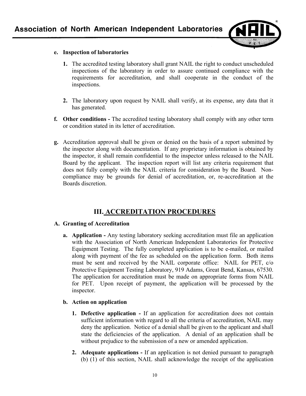

#### **e. Inspection of laboratories**

- **1.** The accredited testing laboratory shall grant NAIL the right to conduct unscheduled inspections of the laboratory in order to assure continued compliance with the requirements for accreditation, and shall cooperate in the conduct of the inspections.
- **2.** The laboratory upon request by NAIL shall verify, at its expense, any data that it has generated.
- **f. Other conditions** The accredited testing laboratory shall comply with any other term or condition stated in its letter of accreditation.
- **g.** Accreditation approval shall be given or denied on the basis of a report submitted by the inspector along with documentation. If any proprietary information is obtained by the inspector, it shall remain confidential to the inspector unless released to the NAIL Board by the applicant. The inspection report will list any criteria requirement that does not fully comply with the NAIL criteria for consideration by the Board. Noncompliance may be grounds for denial of accreditation, or, re-accreditation at the Boards discretion.

## **III. ACCREDITATION PROCEDURES**

#### **A. Granting of Accreditation**

**a. Application -** Any testing laboratory seeking accreditation must file an application with the Association of North American Independent Laboratories for Protective Equipment Testing. The fully completed application is to be e-mailed, or mailed along with payment of the fee as scheduled on the application form. Both items must be sent and received by the NAIL corporate office: NAIL for PET, c/o Protective Equipment Testing Laboratory, 919 Adams, Great Bend, Kansas, 67530. The application for accreditation must be made on appropriate forms from NAIL for PET. Upon receipt of payment, the application will be processed by the inspector.

#### **b. Action on application**

- **1. Defective application** If an application for accreditation does not contain sufficient information with regard to all the criteria of accreditation, NAIL may deny the application. Notice of a denial shall be given to the applicant and shall state the deficiencies of the application. A denial of an application shall be without prejudice to the submission of a new or amended application.
- **2. Adequate applications** If an application is not denied pursuant to paragraph (b) (1) of this section, NAIL shall acknowledge the receipt of the application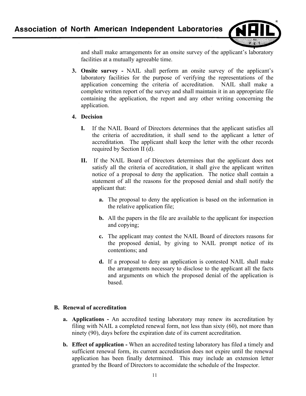

and shall make arrangements for an onsite survey of the applicant's laboratory facilities at a mutually agreeable time.

**3. Onsite survey -** NAIL shall perform an onsite survey of the applicant's laboratory facilities for the purpose of verifying the representations of the application concerning the criteria of accreditation. NAIL shall make a complete written report of the survey and shall maintain it in an appropriate file containing the application, the report and any other writing concerning the application.

#### **4. Decision**

- **I.** If the NAIL Board of Directors determines that the applicant satisfies all the criteria of accreditation, it shall send to the applicant a letter of accreditation. The applicant shall keep the letter with the other records required by Section II (d).
- **II.** If the NAIL Board of Directors determines that the applicant does not satisfy all the criteria of accreditation, it shall give the applicant written notice of a proposal to deny the application. The notice shall contain a statement of all the reasons for the proposed denial and shall notify the applicant that:
	- **a.** The proposal to deny the application is based on the information in the relative application file;
	- **b.** All the papers in the file are available to the applicant for inspection and copying;
	- **c.** The applicant may contest the NAIL Board of directors reasons for the proposed denial, by giving to NAIL prompt notice of its contentions; and
	- **d.** If a proposal to deny an application is contested NAIL shall make the arrangements necessary to disclose to the applicant all the facts and arguments on which the proposed denial of the application is based.

#### **B. Renewal of accreditation**

- **a. Applications** An accredited testing laboratory may renew its accreditation by filing with NAIL a completed renewal form, not less than sixty (60), not more than ninety (90), days before the expiration date of its current accreditation.
- **b. Effect of application** When an accredited testing laboratory has filed a timely and sufficient renewal form, its current accreditation does not expire until the renewal application has been finally determined. This may include an extension letter granted by the Board of Directors to accomidate the schedule of the Inspector.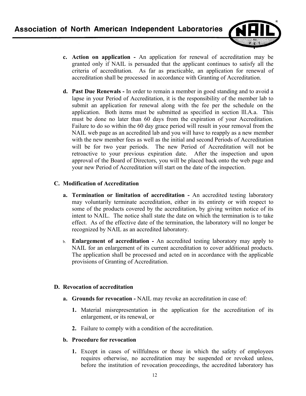

- **c. Action on application** An application for renewal of accreditation may be granted only if NAIL is persuaded that the applicant continues to satisfy all the criteria of accreditation. As far as practicable, an application for renewal of accreditation shall be processed in accordance with Granting of Accreditation.
- **d. Past Due Renewals** In order to remain a member in good standing and to avoid a lapse in your Period of Accreditation, it is the responsibility of the member lab to submit an application for renewal along with the fee per the schedule on the application.Both items must be submitted as specified in section lll.A.a. This must be done no later than 60 days from the expiration of your Accreditation. Failure to do so within the 60 day grace period will result in your removal from the NAIL web page as an accredited lab and you will have to reapply as a new member with the new member fees as well as the initial and second Periods of Accreditation will be for two year periods. The new Period of Accreditation will not be retroactive to your previous expiration date. After the inspection and upon approval of the Board of Directors, you will be placed back onto the web page and your new Period of Accreditation will start on the date of the inspection.

#### **C. Modification of Accreditation**

- **a. Termination or limitation of accreditation** An accredited testing laboratory may voluntarily terminate accreditation, either in its entirety or with respect to some of the products covered by the accreditation, by giving written notice of its intent to NAIL. The notice shall state the date on which the termination is to take effect. As of the effective date of the termination, the laboratory will no longer be recognized by NAIL as an accredited laboratory.
- b. **Enlargement of accreditation** An accredited testing laboratory may apply to NAIL for an enlargement of its current accreditation to cover additional products. The application shall be processed and acted on in accordance with the applicable provisions of Granting of Accreditation.

#### **D. Revocation of accreditation**

- **a. Grounds for revocation** NAIL may revoke an accreditation in case of:
	- **1.** Material misrepresentation in the application for the accreditation of its enlargement, or its renewal, or
	- **2.** Failure to comply with a condition of the accreditation.

#### **b. Procedure for revocation**

**1.** Except in cases of willfulness or those in which the safety of employees requires otherwise, no accreditation may be suspended or revoked unless, before the institution of revocation proceedings, the accredited laboratory has